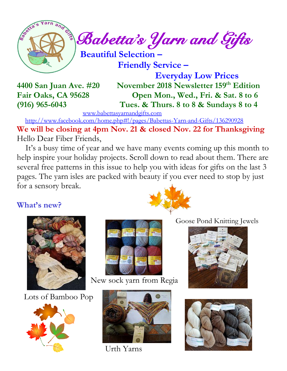

 $\int_{a}^{\infty}$  Babetta's Yarn and Gifts

 **Beautiful Selection – Friendly Service –**

 **Everyday Low Prices 4400 San Juan Ave. #20 November 2018 Newsletter 159 th Edition Fair Oaks, CA 95628 Open Mon., Wed., Fri. & Sat. 8 to 6 (916) 965-6043 Tues. & Thurs. 8 to 8 & Sundays 8 to 4**

[www.babettasyarnandgifts.com](http://www.babettasyarnandgifts.com/)

 <http://www.facebook.com/home.php#!/pages/Babettas-Yarn-and-Gifts/136290928> **We will be closing at 4pm Nov. 21 & closed Nov. 22 for Thanksgiving** Hello Dear Fiber Friends,

 It's a busy time of year and we have many events coming up this month to help inspire your holiday projects. Scroll down to read about them. There are several free patterns in this issue to help you with ideas for gifts on the last 3 pages. The yarn isles are packed with beauty if you ever need to stop by just for a sensory break.

#### **What's new?**



Lots of Bamboo Pop





New sock yarn from Regia



Urth Yarns





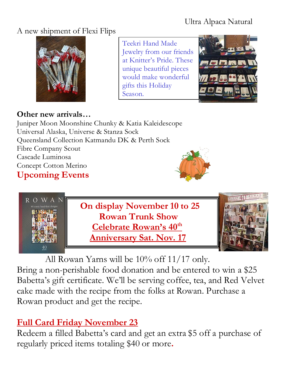#### Ultra Alpaca Natural

#### A new shipment of Flexi Flips



**Other new arrivals…**

Juniper Moon Moonshine Chunky & Katia Kaleidescope Universal Alaska, Universe & Stanza Sock Queensland Collection Katmandu DK & Perth Sock Fibre Company Scout Cascade Luminosa Concept Cotton Merino **Upcoming Events**





Teekri Hand Made

gifts this Holiday

Season.

Jewelry from our friends at Knitter's Pride. These unique beautiful pieces would make wonderful

 All Rowan Yarns will be 10% off 11/17 only. Bring a non-perishable food donation and be entered to win a \$25 Babetta's gift certificate. We'll be serving coffee, tea, and Red Velvet cake made with the recipe from the folks at Rowan. Purchase a Rowan product and get the recipe.

# **Full Card Friday November 23**

Redeem a filled Babetta's card and get an extra \$5 off a purchase of regularly priced items totaling \$40 or more**.**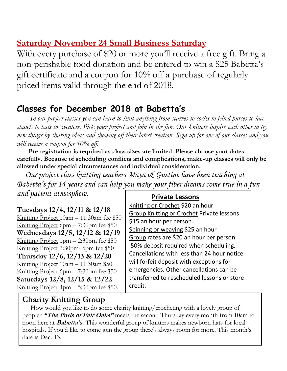## **Saturday November 24 Small Business Saturday**

With every purchase of \$20 or more you'll receive a free gift. Bring a non-perishable food donation and be entered to win a \$25 Babetta's gift certificate and a coupon for 10% off a purchase of regularly priced items valid through the end of 2018.

### **Classes for December 2018 at Babetta's**

 *In our project classes you can learn to knit anything from scarves to socks to felted purses to lace shawls to hats to sweaters. Pick your project and join in the fun. Our knitters inspire each other to try new things by sharing ideas and showing off their latest creation. Sign up for one of our classes and you will receive a coupon for 10% off.*

 **Pre-registration is required as class sizes are limited. Please choose your dates carefully. Because of scheduling conflicts and complications, make-up classes will only be allowed under special circumstances and individual consideration.**

*Our project class knitting teachers Maya & Gustine have been teaching at Babetta's for 14 years and can help you make your fiber dreams come true in a fun and patient atmosphere.*

**Tuesdays 12/4, 12/11 & 12/18**

Knitting Project 10am – 11:30am fee \$50 Knitting Project 6pm – 7:30pm fee \$50 **Wednesdays 12/5, 12/12 & 12/19** Knitting Project 1pm – 2:30pm fee \$50 Knitting Project 3:30pm- 5pm fee \$50 **Thursday 12/6, 12/13 & 12/20** Knitting Project 10am – 11:30am \$50 Knitting Project 6pm  $- 7:30$ pm fee \$50 **Saturdays 12/8, 12/15 & 12/22** Knitting Project 4pm – 5:30pm fee \$50. 

#### **Private Lessons**

Knitting or Crochet \$20 an hour Group Knitting or Crochet Private lessons \$15 an hour per person. Spinning or weaving \$25 an hour Group rates are \$20 an hour per person. 50% deposit required when scheduling. Cancellations with less than 24 hour notice will forfeit deposit with exceptions for emergencies. Other cancellations can be transferred to rescheduled lessons or store credit.

#### **Charity Knitting Group**

 How would you like to do some charity knitting/crocheting with a lovely group of people? **"The Purls of Fair Oaks"** meets the second Thursday every month from 10am to noon here at **Babetta's.** This wonderful group of knitters makes newborn hats for local hospitals. If you'd like to come join the group there's always room for more. This month's date is Dec. 13.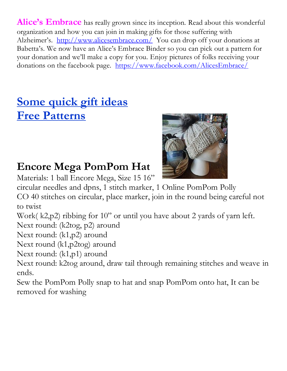Alice's Embrace has really grown since its inception. Read about this wonderful organization and how you can join in making gifts for those suffering with Alzheimer's. <http://www.alicesembrace.com/>You can drop off your donations at Babetta's. We now have an Alice's Embrace Binder so you can pick out a pattern for your donation and we'll make a copy for you. Enjoy pictures of folks receiving your donations on the facebook page. <https://www.facebook.com/AlicesEmbrace/>

# **Some quick gift ideas Free Patterns**

# **Encore Mega PomPom Hat**

Materials: 1 ball Encore Mega, Size 15 16"



circular needles and dpns, 1 stitch marker, 1 Online PomPom Polly

CO 40 stitches on circular, place marker, join in the round being careful not to twist

Work( k2,p2) ribbing for 10" or until you have about 2 yards of yarn left.

Next round: (k2tog, p2) around

Next round: (k1,p2) around

Next round (k1,p2tog) around

Next round: (k1,p1) around

Next round: k2tog around, draw tail through remaining stitches and weave in ends.

Sew the PomPom Polly snap to hat and snap PomPom onto hat, It can be removed for washing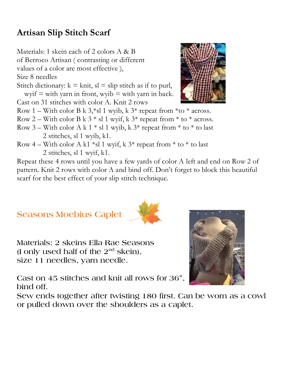# **Artisan Slip Stitch Scarf**

Materials: 1 skein each of 2 colors A & B

of Berroco Artisan ( contrasting or different

values of a color are most effective ),

Size 8 needles

Stitch dictionary:  $k = \text{knit}$ ,  $sl = \text{slip}$  stitch as if to purl, wyif  $=$  with yarn in front, wyib  $=$  with yarn in back.

Cast on 31 stitches with color A. Knit 2 rows

- Row 1 With color B k  $3$ <sup>\*</sup>sl 1 wyib, k  $3$ <sup>\*</sup> repeat from <sup>\*</sup>to <sup>\*</sup> across.
- Row 2 With color B k  $3 *$  sl 1 wyif, k  $3 *$  repeat from  $*$  to  $*$  across.
- Row 3 With color A k 1  $*$  sl 1 wyib, k 3 $*$  repeat from  $*$  to  $*$  to last 2 stitches, sl 1 wyib, k1.
- Row 4 With color A k1  $*$ sl 1 wyif, k 3<sup>\*</sup> repeat from  $*$  to  $*$  to last 2 stitches, sl 1 wyif, k1.

Repeat these 4 rows until you have a few yards of color A left and end on Row 2 of pattern. Knit 2 rows with color A and bind off. Don't forget to block this beautiful scarf for the best effect of your slip stitch technique.

**Seasons Moebius Caplet** 

**Materials: 2 skeins Ella Rae Seasons (I only used half of the 2nd skein), size 11 needles, yarn needle.**

**Cast on 45 stitches and knit all rows for 36", bind off.**

**Sew ends together after twisting 180 first. Can be worn as a cowl or pulled down over the shoulders as a caplet.**